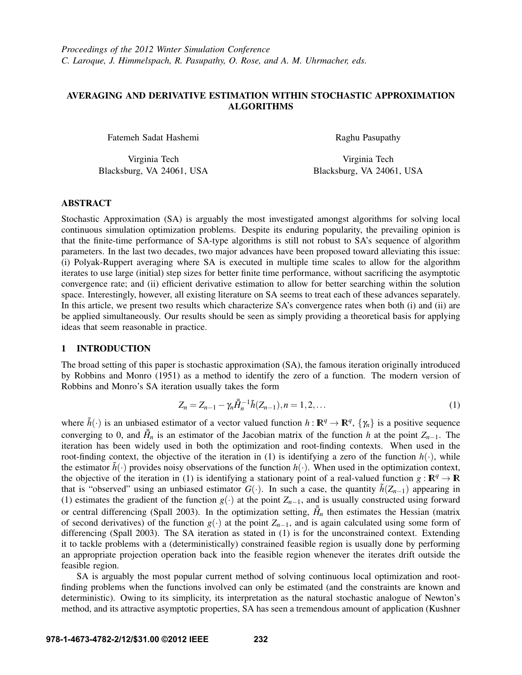# AVERAGING AND DERIVATIVE ESTIMATION WITHIN STOCHASTIC APPROXIMATION ALGORITHMS

Fatemeh Sadat Hashemi

Virginia Tech Blacksburg, VA 24061, USA Raghu Pasupathy

Virginia Tech Blacksburg, VA 24061, USA

## ABSTRACT

Stochastic Approximation (SA) is arguably the most investigated amongst algorithms for solving local continuous simulation optimization problems. Despite its enduring popularity, the prevailing opinion is that the finite-time performance of SA-type algorithms is still not robust to SA's sequence of algorithm parameters. In the last two decades, two major advances have been proposed toward alleviating this issue: (i) Polyak-Ruppert averaging where SA is executed in multiple time scales to allow for the algorithm iterates to use large (initial) step sizes for better finite time performance, without sacrificing the asymptotic convergence rate; and (ii) efficient derivative estimation to allow for better searching within the solution space. Interestingly, however, all existing literature on SA seems to treat each of these advances separately. In this article, we present two results which characterize SA's convergence rates when both (i) and (ii) are be applied simultaneously. Our results should be seen as simply providing a theoretical basis for applying ideas that seem reasonable in practice.

#### 1 INTRODUCTION

The broad setting of this paper is stochastic approximation (SA), the famous iteration originally introduced by Robbins and Monro (1951) as a method to identify the zero of a function. The modern version of Robbins and Monro's SA iteration usually takes the form

$$
Z_n = Z_{n-1} - \gamma_n \bar{H}_n^{-1} \tilde{h}(Z_{n-1}), n = 1, 2, \dots
$$
 (1)

where  $\tilde{h}(\cdot)$  is an unbiased estimator of a vector valued function  $h: \mathbb{R}^q \to \mathbb{R}^q$ ,  $\{\gamma_n\}$  is a positive sequence converging to 0, and  $\bar{H}_n$  is an estimator of the Jacobian matrix of the function *h* at the point  $Z_{n-1}$ . The iteration has been widely used in both the optimization and root-finding contexts. When used in the root-finding context, the objective of the iteration in (1) is identifying a zero of the function  $h(\cdot)$ , while the estimator  $\bar{h}(\cdot)$  provides noisy observations of the function  $h(\cdot)$ . When used in the optimization context, the objective of the iteration in (1) is identifying a stationary point of a real-valued function  $g : \mathbb{R}^q \to \mathbb{R}$ that is "observed" using an unbiased estimator  $G(\cdot)$ . In such a case, the quantity  $\tilde{h}(Z_{n-1})$  appearing in (1) estimates the gradient of the function  $g(\cdot)$  at the point  $Z_{n-1}$ , and is usually constructed using forward or central differencing (Spall 2003). In the optimization setting,  $\bar{H}_n$  then estimates the Hessian (matrix of second derivatives) of the function *g*(·) at the point *Zn*−1, and is again calculated using some form of differencing (Spall 2003). The SA iteration as stated in (1) is for the unconstrained context. Extending it to tackle problems with a (deterministically) constrained feasible region is usually done by performing an appropriate projection operation back into the feasible region whenever the iterates drift outside the feasible region.

SA is arguably the most popular current method of solving continuous local optimization and rootfinding problems when the functions involved can only be estimated (and the constraints are known and deterministic). Owing to its simplicity, its interpretation as the natural stochastic analogue of Newton's method, and its attractive asymptotic properties, SA has seen a tremendous amount of application (Kushner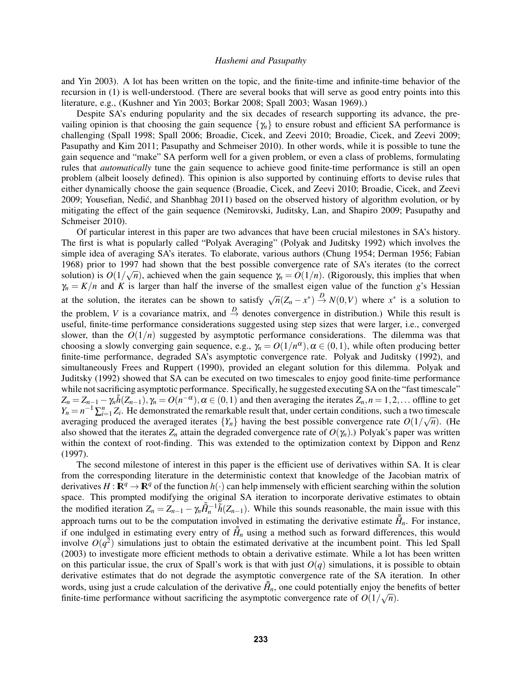and Yin 2003). A lot has been written on the topic, and the finite-time and infinite-time behavior of the recursion in (1) is well-understood. (There are several books that will serve as good entry points into this literature, e.g., (Kushner and Yin 2003; Borkar 2008; Spall 2003; Wasan 1969).)

Despite SA's enduring popularity and the six decades of research supporting its advance, the prevailing opinion is that choosing the gain sequence  $\{\gamma_n\}$  to ensure robust and efficient SA performance is challenging (Spall 1998; Spall 2006; Broadie, Cicek, and Zeevi 2010; Broadie, Cicek, and Zeevi 2009; Pasupathy and Kim 2011; Pasupathy and Schmeiser 2010). In other words, while it is possible to tune the gain sequence and "make" SA perform well for a given problem, or even a class of problems, formulating rules that *automatically* tune the gain sequence to achieve good finite-time performance is still an open problem (albeit loosely defined). This opinion is also supported by continuing efforts to devise rules that either dynamically choose the gain sequence (Broadie, Cicek, and Zeevi 2010; Broadie, Cicek, and Zeevi 2009; Yousefian, Nedić, and Shanbhag 2011) based on the observed history of algorithm evolution, or by mitigating the effect of the gain sequence (Nemirovski, Juditsky, Lan, and Shapiro 2009; Pasupathy and Schmeiser 2010).

Of particular interest in this paper are two advances that have been crucial milestones in SA's history. The first is what is popularly called "Polyak Averaging" (Polyak and Juditsky 1992) which involves the simple idea of averaging SA's iterates. To elaborate, various authors (Chung 1954; Derman 1956; Fabian 1968) prior to 1997 had shown that the best possible convergence rate of SA's iterates (to the correct solution) is  $O(1/\sqrt{n})$ , achieved when the gain sequence  $\gamma_n = O(1/n)$ . (Rigorously, this implies that when  $\gamma_n = K/n$  and *K* is larger than half the inverse of the smallest eigen value of the function *g*'s Hessian at the solution, the iterates can be shown to satisfy  $\sqrt{n}(Z_n - x^*) \stackrel{D}{\rightarrow} N(0, V)$  where  $x^*$  is a solution to the problem, *V* is a covariance matrix, and  $\stackrel{D}{\rightarrow}$  denotes convergence in distribution.) While this result is useful, finite-time performance considerations suggested using step sizes that were larger, i.e., converged slower, than the  $O(1/n)$  suggested by asymptotic performance considerations. The dilemma was that choosing a slowly converging gain sequence, e.g.,  $\gamma_n = O(1/n^{\alpha})$ ,  $\alpha \in (0,1)$ , while often producing better finite-time performance, degraded SA's asymptotic convergence rate. Polyak and Juditsky (1992), and simultaneously Frees and Ruppert (1990), provided an elegant solution for this dilemma. Polyak and Juditsky (1992) showed that SA can be executed on two timescales to enjoy good finite-time performance while not sacrificing asymptotic performance. Specifically, he suggested executing SA on the "fast timescale"  $Z_n = Z_{n-1} - \gamma_n \tilde{h}(Z_{n-1}), \gamma_n = O(n^{-\alpha}), \alpha \in (0,1)$  and then averaging the iterates  $Z_n, n = 1,2,...$  offline to get  $Y_n = n^{-1} \sum_{i=1}^n Z_i$ . He demonstrated the remarkable result that, under certain conditions, such a two timescale averaging produced the averaged iterates  ${Y_n}$  having the best possible convergence rate  $O(1/\sqrt{n})$ . (He also showed that the iterates  $Z_n$  attain the degraded convergence rate of  $O(\gamma_n)$ .) Polyak's paper was written within the context of root-finding. This was extended to the optimization context by Dippon and Renz (1997).

The second milestone of interest in this paper is the efficient use of derivatives within SA. It is clear from the corresponding literature in the deterministic context that knowledge of the Jacobian matrix of derivatives  $H : \mathbb{R}^q \to \mathbb{R}^q$  of the function  $h(\cdot)$  can help immensely with efficient searching within the solution space. This prompted modifying the original SA iteration to incorporate derivative estimates to obtain the modified iteration  $Z_n = Z_{n-1} - \gamma_n \bar{H}_n^{-1} \tilde{h}(Z_{n-1})$ . While this sounds reasonable, the main issue with this approach turns out to be the computation involved in estimating the derivative estimate  $\bar{H}_n$ . For instance, if one indulged in estimating every entry of  $\bar{H}_n$  using a method such as forward differences, this would involve  $O(q^2)$  simulations just to obtain the estimated derivative at the incumbent point. This led Spall (2003) to investigate more efficient methods to obtain a derivative estimate. While a lot has been written on this particular issue, the crux of Spall's work is that with just  $O(q)$  simulations, it is possible to obtain derivative estimates that do not degrade the asymptotic convergence rate of the SA iteration. In other words, using just a crude calculation of the derivative  $\bar{H}_n$ , one could potentially enjoy the benefits of better finite-time performance without sacrificing the asymptotic convergence rate of  $O(1/\sqrt{n})$ .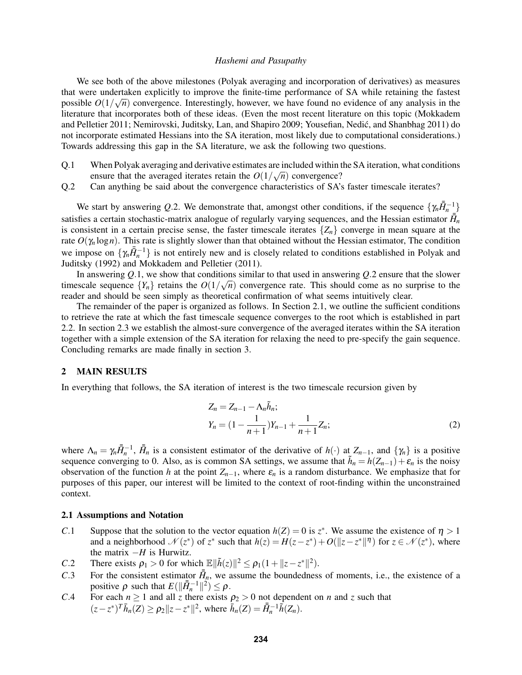We see both of the above milestones (Polyak averaging and incorporation of derivatives) as measures that were undertaken explicitly to improve the finite-time performance of SA while retaining the fastest  $\frac{1}{2}$ possible  $O(1/\sqrt{n})$  convergence. Interestingly, however, we have found no evidence of any analysis in the literature that incorporates both of these ideas. (Even the most recent literature on this topic (Mokkadem and Pelletier 2011; Nemirovski, Juditsky, Lan, and Shapiro 2009; Yousefian, Nedić, and Shanbhag 2011) do not incorporate estimated Hessians into the SA iteration, most likely due to computational considerations.) Towards addressing this gap in the SA literature, we ask the following two questions.

- Q.1 When Polyak averaging and derivative estimates are included within the SA iteration, what conditions ensure that the averaged iterates retain the  $O(1/\sqrt{n})$  convergence?
- Q.2 Can anything be said about the convergence characteristics of SA's faster timescale iterates?

We start by answering *Q*.2. We demonstrate that, amongst other conditions, if the sequence  $\{\gamma_n \bar{H}_n^{-1}\}$ satisfies a certain stochastic-matrix analogue of regularly varying sequences, and the Hessian estimator  $\vec{H}_n$ is consistent in a certain precise sense, the faster timescale iterates  $\{Z_n\}$  converge in mean square at the rate  $O(\gamma_n \log n)$ . This rate is slightly slower than that obtained without the Hessian estimator, The condition we impose on  $\{\gamma_n \bar{H}_n^{-1}\}$  is not entirely new and is closely related to conditions established in Polyak and Juditsky (1992) and Mokkadem and Pelletier (2011).

In answering Q.1, we show that conditions similar to that used in answering Q.2 ensure that the slower timescale sequence  ${Y_n}$  retains the  $O(1/\sqrt{n})$  convergence rate. This should come as no surprise to the reader and should be seen simply as theoretical confirmation of what seems intuitively clear.

The remainder of the paper is organized as follows. In Section 2.1, we outline the sufficient conditions to retrieve the rate at which the fast timescale sequence converges to the root which is established in part 2.2. In section 2.3 we establish the almost-sure convergence of the averaged iterates within the SA iteration together with a simple extension of the SA iteration for relaxing the need to pre-specify the gain sequence. Concluding remarks are made finally in section 3.

### 2 MAIN RESULTS

In everything that follows, the SA iteration of interest is the two timescale recursion given by

$$
Z_n = Z_{n-1} - \Lambda_n \tilde{h}_n;
$$
  
\n
$$
Y_n = (1 - \frac{1}{n+1})Y_{n-1} + \frac{1}{n+1}Z_n;
$$
\n(2)

where  $\Lambda_n = \gamma_n \bar{H}_n^{-1}$ ,  $\bar{H}_n$  is a consistent estimator of the derivative of  $h(\cdot)$  at  $Z_{n-1}$ , and  $\{\gamma_n\}$  is a positive sequence converging to 0. Also, as is common SA settings, we assume that  $\tilde{h}_n = h(Z_{n-1}) + \varepsilon_n$  is the noisy observation of the function *h* at the point  $Z_{n-1}$ , where  $\varepsilon_n$  is a random disturbance. We emphasize that for purposes of this paper, our interest will be limited to the context of root-finding within the unconstrained context.

## 2.1 Assumptions and Notation

- *C*.1 Suppose that the solution to the vector equation  $h(Z) = 0$  is  $z^*$ . We assume the existence of  $\eta > 1$ and a neighborhood  $\mathcal{N}(z^*)$  of  $z^*$  such that  $h(z) = H(z - z^*) + O(||z - z^*||^{\eta})$  for  $z \in \mathcal{N}(z^*)$ , where the matrix  $-H$  is Hurwitz.
- *C*.2 There exists  $\rho_1 > 0$  for which  $\mathbb{E} \|\tilde{h}(z)\|^2 \le \rho_1(1 + \|z z^*\|^2)$ .
- *C*.3 For the consistent estimator  $\bar{H}_n$ , we assume the boundedness of moments, i.e., the existence of a positive  $\rho$  such that  $E(||\bar{H}_n^{-1}||^2) \leq \rho$ .
- *C*.4 For each  $n \ge 1$  and all *z* there exists  $\rho_2 > 0$  not dependent on *n* and *z* such that  $(z - z^*)^T \bar{h}_n(Z) \ge \rho_2 ||z - z^*||^2$ , where  $\bar{h}_n(Z) = \bar{H}_n^{-1} \tilde{h}(Z_n)$ .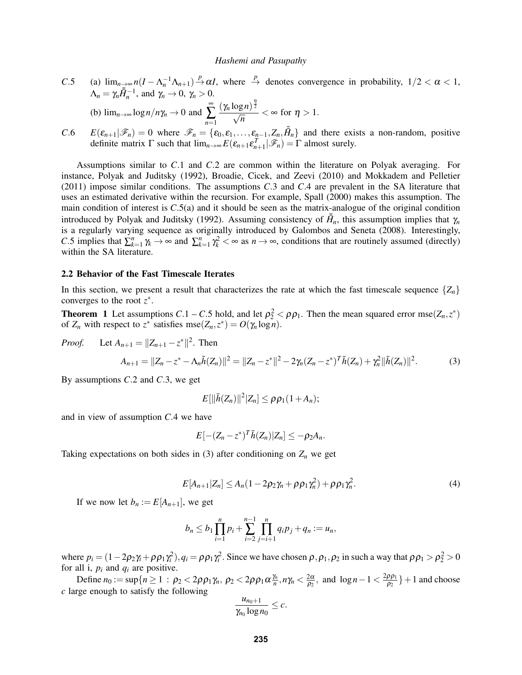- *C*.5 (a)  $\lim_{n\to\infty} n(I \Lambda_n^{-1}\Lambda_{n+1}) \stackrel{p}{\to} \alpha I$ , where  $\stackrel{p}{\to}$  denotes convergence in probability,  $1/2 < \alpha < 1$ ,  $\Lambda_n = \gamma_n \overline{\overline{H}}_n^{-1}$ , and  $\gamma_n \to 0$ ,  $\gamma_n > 0$ . (b)  $\lim_{n\to\infty} \log n/n\gamma_n \to 0$  and ∞ ∑ *n*=1  $\frac{(\gamma_n \log n)^{\frac{\eta}{2}}}{\sqrt{n}}$  $\frac{1}{\overline{n}}$  <  $\infty$  for  $\eta > 1$ .
- *C*.6  $E(\epsilon_{n+1}|\mathscr{F}_n) = 0$  where  $\mathscr{F}_n = {\epsilon_0, \epsilon_1, ..., \epsilon_{n-1}, Z_n, \bar{H}_n}$  and there exists a non-random, positive definite matrix  $\Gamma$  such that  $\lim_{n\to\infty} E(\varepsilon_{n+1}\varepsilon_{n+1}^T|\mathscr{F}_n) = \Gamma$  almost surely.

Assumptions similar to *C*.1 and *C*.2 are common within the literature on Polyak averaging. For instance, Polyak and Juditsky (1992), Broadie, Cicek, and Zeevi (2010) and Mokkadem and Pelletier (2011) impose similar conditions. The assumptions *C*.3 and *C*.4 are prevalent in the SA literature that uses an estimated derivative within the recursion. For example, Spall (2000) makes this assumption. The main condition of interest is *C*.5(a) and it should be seen as the matrix-analogue of the original condition introduced by Polyak and Juditsky (1992). Assuming consistency of  $\bar{H}_n$ , this assumption implies that  $\gamma_n$ is a regularly varying sequence as originally introduced by Galombos and Seneta (2008). Interestingly, *C*.5 implies that  $\sum_{k=1}^{n} \gamma_k \to \infty$  and  $\sum_{k=1}^{n} \gamma_k^2 < \infty$  as  $n \to \infty$ , conditions that are routinely assumed (directly) within the SA literature.

#### 2.2 Behavior of the Fast Timescale Iterates

In this section, we present a result that characterizes the rate at which the fast timescale sequence  $\{Z_n\}$ converges to the root  $z^*$ .

**Theorem** 1 Let assumptions  $C \cdot 1 - C \cdot 5$  hold, and let  $\rho_2^2 < \rho \rho_1$ . Then the mean squared error mse $(Z_n, z^*)$ of  $Z_n$  with respect to  $z^*$  satisfies mse $(Z_n, z^*) = O(\gamma_n \log n)$ .

*Proof.* Let  $A_{n+1} = ||Z_{n+1} - z^*||^2$ . Then

$$
A_{n+1} = ||Z_n - z^* - \Lambda_n \tilde{h}(Z_n)||^2 = ||Z_n - z^*||^2 - 2\gamma_n (Z_n - z^*)^T \bar{h}(Z_n) + \gamma_n^2 ||\bar{h}(Z_n)||^2.
$$
 (3)

By assumptions *C*.2 and *C*.3, we get

$$
E[\|\bar{h}(Z_n)\|^2|Z_n]\leq \rho\rho_1(1+A_n);
$$

and in view of assumption *C*.4 we have

$$
E[-(Z_n-z^*)^T\bar{h}(Z_n)|Z_n]\leq -\rho_2A_n.
$$

Taking expectations on both sides in (3) after conditioning on  $Z_n$  we get

$$
E[A_{n+1}|Z_n] \le A_n(1 - 2\rho_2\gamma_n + \rho\rho_1\gamma_n^2) + \rho\rho_1\gamma_n^2. \tag{4}
$$

If we now let  $b_n := E[A_{n+1}]$ , we get

$$
b_n \le b_1 \prod_{i=1}^n p_i + \sum_{i=2}^{n-1} \prod_{j=i+1}^n q_i p_j + q_n := u_n,
$$

where  $p_i = (1 - 2p_2\gamma_i + \rho \rho_1 \gamma_i^2), q_i = \rho \rho_1 \gamma_i^2$ . Since we have chosen  $\rho, \rho_1, \rho_2$  in such a way that  $\rho \rho_1 > \rho_2^2 > 0$ for all i,  $p_i$  and  $q_i$  are positive.

Define  $n_0 := \sup\{n \geq 1 : \rho_2 < 2\rho \rho_1 \gamma_n, \, \rho_2 < 2\rho \rho_1 \alpha \frac{\gamma_n}{n}\}$  $\frac{\gamma_n}{n}, n\gamma_n < \frac{2\alpha}{\rho_2}$  $\frac{2\alpha}{\rho_2}$ , and  $\log n - 1 < \frac{2\rho \rho_1}{\rho_2}$  $\left\{\frac{\rho \rho_1}{\rho_2}\right\}+1$  and choose *c* large enough to satisfy the following

$$
\frac{u_{n_0+1}}{\gamma_{n_0}\log n_0}\leq c.
$$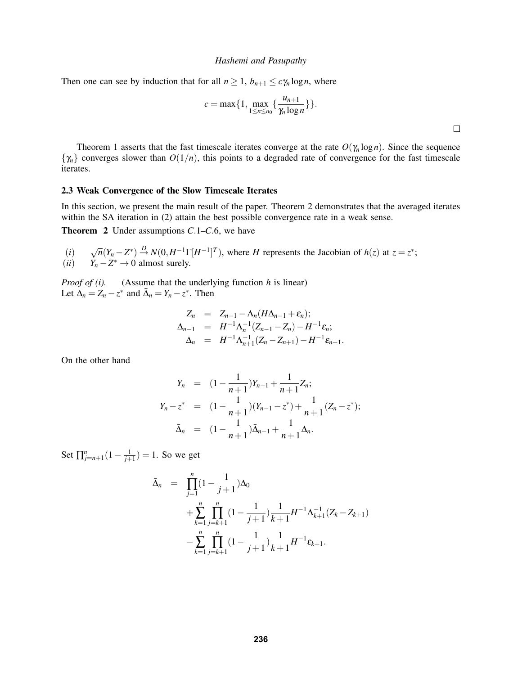Then one can see by induction that for all  $n \geq 1$ ,  $b_{n+1} \leq c \gamma_n \log n$ , where

$$
c = \max\{1, \max_{1 \leq n \leq n_0} \{\frac{u_{n+1}}{\gamma_n \log n}\}\}.
$$

Theorem 1 asserts that the fast timescale iterates converge at the rate  $O(\gamma_n \log n)$ . Since the sequence  $\{\gamma_n\}$  converges slower than  $O(1/n)$ , this points to a degraded rate of convergence for the fast timescale iterates.

#### 2.3 Weak Convergence of the Slow Timescale Iterates

In this section, we present the main result of the paper. Theorem 2 demonstrates that the averaged iterates within the SA iteration in (2) attain the best possible convergence rate in a weak sense.

Theorem 2 Under assumptions *C*.1–*C*.6, we have

 $(i)$ <br> $(ii)$  $\sqrt{n}(Y_n - Z^*) \stackrel{D}{\rightarrow} N(0, H^{-1}\Gamma[H^{-1}]^T)$ , where *H* represents the Jacobian of *h*(*z*) at *z* = *z*<sup>\*</sup>;  $(iii)$  *Y<sub>n</sub>* − *Z*<sup>\*</sup> → 0 almost surely.

*Proof of (i).* (Assume that the underlying function *h* is linear) Let  $\Delta_n = Z_n - z^*$  and  $\bar{\Delta}_n = Y_n - z^*$ . Then

$$
Z_n = Z_{n-1} - \Lambda_n (H \Delta_{n-1} + \varepsilon_n);
$$
  
\n
$$
\Delta_{n-1} = H^{-1} \Lambda_n^{-1} (Z_{n-1} - Z_n) - H^{-1} \varepsilon_n;
$$
  
\n
$$
\Delta_n = H^{-1} \Lambda_{n+1}^{-1} (Z_n - Z_{n+1}) - H^{-1} \varepsilon_{n+1}.
$$

On the other hand

$$
Y_n = (1 - \frac{1}{n+1})Y_{n-1} + \frac{1}{n+1}Z_n;
$$
  
\n
$$
Y_n - z^* = (1 - \frac{1}{n+1})(Y_{n-1} - z^*) + \frac{1}{n+1}(Z_n - z^*);
$$
  
\n
$$
\bar{\Delta}_n = (1 - \frac{1}{n+1})\bar{\Delta}_{n-1} + \frac{1}{n+1}\Delta_n.
$$

Set  $\prod_{j=n+1}^{n} (1 - \frac{1}{j+1}) = 1$ . So we get

$$
\bar{\Delta}_n = \prod_{j=1}^n (1 - \frac{1}{j+1}) \Delta_0
$$
  
+ 
$$
\sum_{k=1}^n \prod_{j=k+1}^n (1 - \frac{1}{j+1}) \frac{1}{k+1} H^{-1} \Lambda_{k+1}^{-1} (Z_k - Z_{k+1})
$$
  
- 
$$
\sum_{k=1}^n \prod_{j=k+1}^n (1 - \frac{1}{j+1}) \frac{1}{k+1} H^{-1} \varepsilon_{k+1}.
$$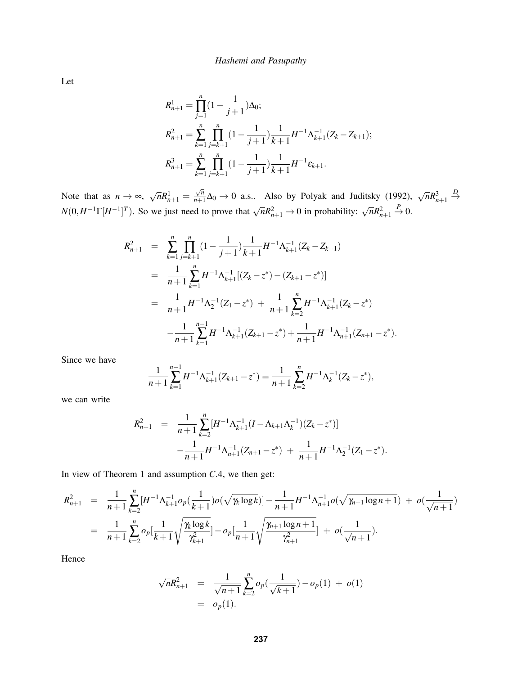Let

$$
R_{n+1}^1 = \prod_{j=1}^n (1 - \frac{1}{j+1}) \Delta_0;
$$
  
\n
$$
R_{n+1}^2 = \sum_{k=1}^n \prod_{j=k+1}^n (1 - \frac{1}{j+1}) \frac{1}{k+1} H^{-1} \Lambda_{k+1}^{-1} (Z_k - Z_{k+1});
$$
  
\n
$$
R_{n+1}^3 = \sum_{k=1}^n \prod_{j=k+1}^n (1 - \frac{1}{j+1}) \frac{1}{k+1} H^{-1} \varepsilon_{k+1}.
$$

Note that as  $n \to \infty$ ,  $\sqrt{n}R_{n+1}^1 =$ √ *n*  $\frac{\sqrt{n}}{n+1}$ ∆<sub>0</sub> → 0 a.s.. Also by Polyak and Juditsky (1992),  $\sqrt{n}R_{n+1}^3$  $\stackrel{D}{\rightarrow}$  $N(0, H^{-1}\Gamma[H^{-1}]^T)$ . So we just need to prove that  $\sqrt{n}R_{n+1}^2 \to 0$  in probability:  $\sqrt{n}R_{n+1}^2$  $\stackrel{P}{\rightarrow} 0.$ 

$$
R_{n+1}^{2} = \sum_{k=1}^{n} \prod_{j=k+1}^{n} (1 - \frac{1}{j+1}) \frac{1}{k+1} H^{-1} \Lambda_{k+1}^{-1} (Z_{k} - Z_{k+1})
$$
  
\n
$$
= \frac{1}{n+1} \sum_{k=1}^{n} H^{-1} \Lambda_{k+1}^{-1} [(Z_{k} - z^{*}) - (Z_{k+1} - z^{*})]
$$
  
\n
$$
= \frac{1}{n+1} H^{-1} \Lambda_{2}^{-1} (Z_{1} - z^{*}) + \frac{1}{n+1} \sum_{k=2}^{n} H^{-1} \Lambda_{k+1}^{-1} (Z_{k} - z^{*})
$$
  
\n
$$
- \frac{1}{n+1} \sum_{k=1}^{n-1} H^{-1} \Lambda_{k+1}^{-1} (Z_{k+1} - z^{*}) + \frac{1}{n+1} H^{-1} \Lambda_{n+1}^{-1} (Z_{n+1} - z^{*}).
$$

Since we have

$$
\frac{1}{n+1}\sum_{k=1}^{n-1}H^{-1}\Lambda_{k+1}^{-1}(Z_{k+1}-z^*)=\frac{1}{n+1}\sum_{k=2}^{n}H^{-1}\Lambda_k^{-1}(Z_k-z^*),
$$

we can write

$$
R_{n+1}^2 = \frac{1}{n+1} \sum_{k=2}^n [H^{-1} \Lambda_{k+1}^{-1} (I - \Lambda_{k+1} \Lambda_k^{-1}) (Z_k - z^*)]
$$
  

$$
-\frac{1}{n+1} H^{-1} \Lambda_{n+1}^{-1} (Z_{n+1} - z^*) + \frac{1}{n+1} H^{-1} \Lambda_2^{-1} (Z_1 - z^*).
$$

In view of Theorem 1 and assumption *C*.4, we then get:

$$
R_{n+1}^2 = \frac{1}{n+1} \sum_{k=2}^n [H^{-1} \Lambda_{k+1}^{-1} o_p(\frac{1}{k+1}) o(\sqrt{\gamma_k \log k})] - \frac{1}{n+1} H^{-1} \Lambda_{n+1}^{-1} o(\sqrt{\gamma_{n+1} \log n + 1}) + o(\frac{1}{\sqrt{n+1}})
$$
  
= 
$$
\frac{1}{n+1} \sum_{k=2}^n o_p[\frac{1}{k+1} \sqrt{\frac{\gamma_k \log k}{\gamma_{k+1}^2}}] - o_p[\frac{1}{n+1} \sqrt{\frac{\gamma_{n+1} \log n + 1}{\gamma_{n+1}^2}}] + o(\frac{1}{\sqrt{n+1}}).
$$

Hence

$$
\sqrt{n}R_{n+1}^2 = \frac{1}{\sqrt{n+1}}\sum_{k=2}^n o_p(\frac{1}{\sqrt{k+1}}) - o_p(1) + o(1)
$$
  
=  $o_p(1)$ .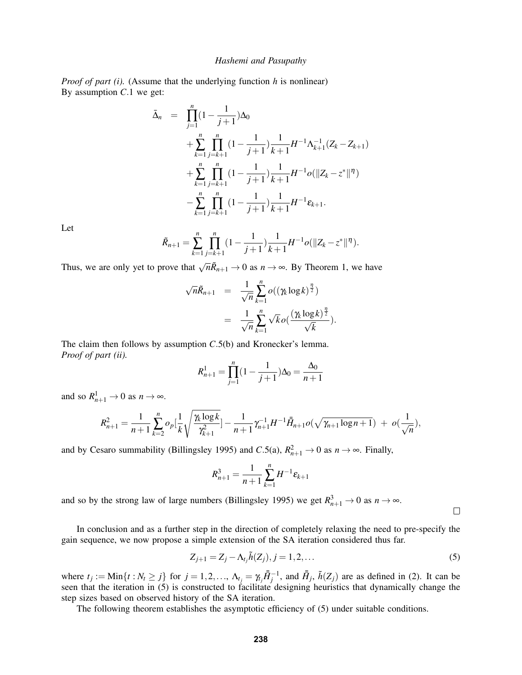*Proof of part (i).* (Assume that the underlying function *h* is nonlinear) By assumption *C*.1 we get:

$$
\begin{split}\n\bar{\Delta}_{n} &= \prod_{j=1}^{n} (1 - \frac{1}{j+1}) \Delta_{0} \\
&+ \sum_{k=1}^{n} \prod_{j=k+1}^{n} (1 - \frac{1}{j+1}) \frac{1}{k+1} H^{-1} \Lambda_{k+1}^{-1} (Z_{k} - Z_{k+1}) \\
&+ \sum_{k=1}^{n} \prod_{j=k+1}^{n} (1 - \frac{1}{j+1}) \frac{1}{k+1} H^{-1} o(\|Z_{k} - z^{*}\|^{n}) \\
&- \sum_{k=1}^{n} \prod_{j=k+1}^{n} (1 - \frac{1}{j+1}) \frac{1}{k+1} H^{-1} \varepsilon_{k+1}.\n\end{split}
$$

Let

$$
\tilde{R}_{n+1} = \sum_{k=1}^{n} \prod_{j=k+1}^{n} (1 - \frac{1}{j+1}) \frac{1}{k+1} H^{-1} o(\|Z_k - z^*\|^{\eta}).
$$

Thus, we are only yet to prove that  $\sqrt{n}\tilde{R}_{n+1} \to 0$  as  $n \to \infty$ . By Theorem 1, we have

$$
\sqrt{n}\tilde{R}_{n+1} = \frac{1}{\sqrt{n}} \sum_{k=1}^{n} o((\gamma_k \log k)^{\frac{n}{2}})
$$
  
= 
$$
\frac{1}{\sqrt{n}} \sum_{k=1}^{n} \sqrt{k} o(\frac{(\gamma_k \log k)^{\frac{n}{2}}}{\sqrt{k}}).
$$

The claim then follows by assumption *C*.5(b) and Kronecker's lemma. *Proof of part (ii).*

$$
R_{n+1}^1 = \prod_{j=1}^n (1 - \frac{1}{j+1}) \Delta_0 = \frac{\Delta_0}{n+1}
$$

and so  $R_{n+1}^1 \to 0$  as  $n \to \infty$ .

$$
R_{n+1}^2 = \frac{1}{n+1} \sum_{k=2}^n o_p \left[ \frac{1}{k} \sqrt{\frac{\gamma_k \log k}{\gamma_{k+1}^2}} \right] - \frac{1}{n+1} \gamma_{n+1}^{-1} H^{-1} \overline{H}_{n+1} o(\sqrt{\gamma_{n+1} \log n + 1}) + o(\frac{1}{\sqrt{n}}),
$$

and by Cesaro summability (Billingsley 1995) and *C*.5(a),  $R_{n+1}^2 \rightarrow 0$  as  $n \rightarrow \infty$ . Finally,

$$
R_{n+1}^3 = \frac{1}{n+1} \sum_{k=1}^n H^{-1} \varepsilon_{k+1}
$$

and so by the strong law of large numbers (Billingsley 1995) we get  $R_{n+1}^3 \to 0$  as  $n \to \infty$ .

 $\Box$ 

In conclusion and as a further step in the direction of completely relaxing the need to pre-specify the gain sequence, we now propose a simple extension of the SA iteration considered thus far.

$$
Z_{j+1} = Z_j - \Lambda_{t_j} \tilde{h}(Z_j), j = 1, 2, \dots
$$
\n(5)

where  $t_j := \text{Min}\{t : N_t \geq j\}$  for  $j = 1, 2, ..., \Lambda_{t_j} = \gamma_{t_j} \overline{H}_j^{-1}$ , and  $\overline{H}_j$ ,  $\tilde{h}(Z_j)$  are as defined in (2). It can be seen that the iteration in (5) is constructed to facilitate designing heuristics that dynamically change the step sizes based on observed history of the SA iteration.

The following theorem establishes the asymptotic efficiency of (5) under suitable conditions.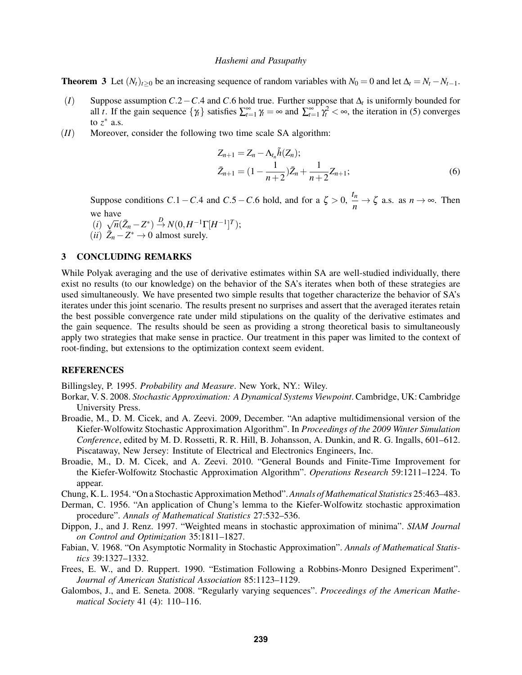**Theorem 3** Let  $(N_t)_{t>0}$  be an increasing sequence of random variables with  $N_0 = 0$  and let  $\Delta_t = N_t - N_{t-1}$ .

- (*I*) Suppose assumption *C*.2−*C*.4 and *C*.6 hold true. Further suppose that ∆*<sup>t</sup>* is uniformly bounded for all *t*. If the gain sequence  $\{\gamma_t\}$  satisfies  $\sum_{t=1}^{\infty} \gamma_t = \infty$  and  $\sum_{t=1}^{\infty} \gamma_t^2 < \infty$ , the iteration in (5) converges to  $z^*$  a.s.
- (*II*) Moreover, consider the following two time scale SA algorithm:

$$
Z_{n+1} = Z_n - \Lambda_{t_n} \tilde{h}(Z_n);
$$
  
\n
$$
\bar{Z}_{n+1} = (1 - \frac{1}{n+2})\bar{Z}_n + \frac{1}{n+2}Z_{n+1};
$$
\n(6)

Suppose conditions *C*.1−*C*.4 and *C*.5−*C*.6 hold, and for a  $\zeta > 0$ ,  $\frac{t_n}{a}$  $\frac{n}{n} \to \zeta$  a.s. as  $n \to \infty$ . Then we have

$$
(i) \ \sqrt{n}(\bar{Z}_n - Z^*) \stackrel{D}{\to} N(0, H^{-1}\Gamma[H^{-1}]^T);
$$

 $(ii)$   $\bar{Z}_n - Z^* \to 0$  almost surely.

## 3 CONCLUDING REMARKS

While Polyak averaging and the use of derivative estimates within SA are well-studied individually, there exist no results (to our knowledge) on the behavior of the SA's iterates when both of these strategies are used simultaneously. We have presented two simple results that together characterize the behavior of SA's iterates under this joint scenario. The results present no surprises and assert that the averaged iterates retain the best possible convergence rate under mild stipulations on the quality of the derivative estimates and the gain sequence. The results should be seen as providing a strong theoretical basis to simultaneously apply two strategies that make sense in practice. Our treatment in this paper was limited to the context of root-finding, but extensions to the optimization context seem evident.

## **REFERENCES**

Billingsley, P. 1995. *Probability and Measure*. New York, NY.: Wiley.

- Borkar, V. S. 2008. *Stochastic Approximation: A Dynamical Systems Viewpoint*. Cambridge, UK: Cambridge University Press.
- Broadie, M., D. M. Cicek, and A. Zeevi. 2009, December. "An adaptive multidimensional version of the Kiefer-Wolfowitz Stochastic Approximation Algorithm". In *Proceedings of the 2009 Winter Simulation Conference*, edited by M. D. Rossetti, R. R. Hill, B. Johansson, A. Dunkin, and R. G. Ingalls, 601–612. Piscataway, New Jersey: Institute of Electrical and Electronics Engineers, Inc.
- Broadie, M., D. M. Cicek, and A. Zeevi. 2010. "General Bounds and Finite-Time Improvement for the Kiefer-Wolfowitz Stochastic Approximation Algorithm". *Operations Research* 59:1211–1224. To appear.
- Chung, K. L. 1954. "On a Stochastic Approximation Method".*Annals of Mathematical Statistics* 25:463–483.
- Derman, C. 1956. "An application of Chung's lemma to the Kiefer-Wolfowitz stochastic approximation procedure". *Annals of Mathematical Statistics* 27:532–536.
- Dippon, J., and J. Renz. 1997. "Weighted means in stochastic approximation of minima". *SIAM Journal on Control and Optimization* 35:1811–1827.
- Fabian, V. 1968. "On Asymptotic Normality in Stochastic Approximation". *Annals of Mathematical Statistics* 39:1327–1332.
- Frees, E. W., and D. Ruppert. 1990. "Estimation Following a Robbins-Monro Designed Experiment". *Journal of American Statistical Association* 85:1123–1129.
- Galombos, J., and E. Seneta. 2008. "Regularly varying sequences". *Proceedings of the American Mathematical Society* 41 (4): 110–116.